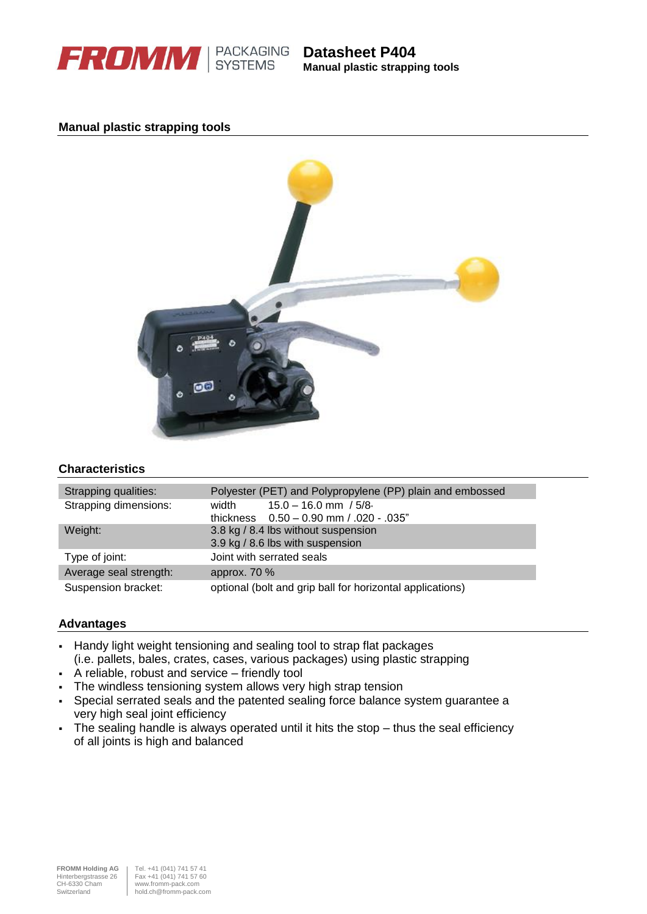

**Manual plastic strapping tools**

## **Manual plastic strapping tools**



# **Characteristics**

| Strapping qualities:   | Polyester (PET) and Polypropylene (PP) plain and embossed |
|------------------------|-----------------------------------------------------------|
| Strapping dimensions:  | $15.0 - 16.0$ mm $/5/8$<br>width                          |
|                        | thickness $0.50 - 0.90$ mm $/0.020 - 0.035$ "             |
| Weight:                | 3.8 kg / 8.4 lbs without suspension                       |
|                        | 3.9 kg / 8.6 lbs with suspension                          |
| Type of joint:         | Joint with serrated seals                                 |
| Average seal strength: | approx. 70 %                                              |
| Suspension bracket:    | optional (bolt and grip ball for horizontal applications) |

### **Advantages**

- Handy light weight tensioning and sealing tool to strap flat packages (i.e. pallets, bales, crates, cases, various packages) using plastic strapping
- A reliable, robust and service friendly tool
- The windless tensioning system allows very high strap tension
- Special serrated seals and the patented sealing force balance system guarantee a very high seal joint efficiency
- The sealing handle is always operated until it hits the stop thus the seal efficiency of all joints is high and balanced